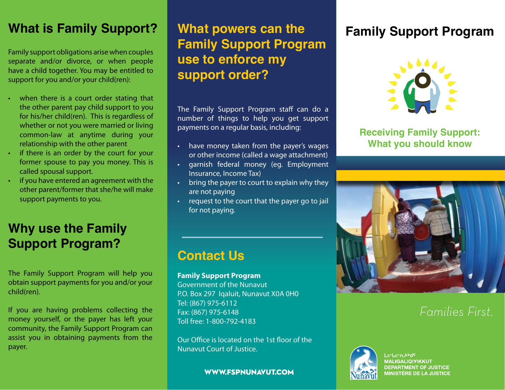### **What is Family Support? What powers can the**

Family support obligations arise when couples separate and/or divorce, or when people have a child together. You may be entitled to support for you and/or your child(ren):

- when there is a court order stating that the other parent pay child support to you for his/her child(ren). This is regardless of whether or not you were married or living common-law at anytime during your relationship with the other parent
- if there is an order by the court for your former spouse to pay you money. This is called spousal support.
- if you have entered an agreement with the other parent/former that she/he will make support payments to you.

### **Why use the Family Support Program?**

The Family Support Program will help you obtain support payments for you and/or your child(ren).

If you are having problems collecting the money yourself, or the payer has left your community, the Family Support Program can assist you in obtaining payments from the payer.

# **Family Support Program use to enforce my support order?**

The Family Support Program staff can do a number of things to help you get support payments on a regular basis, including:

- have money taken from the payer's wages or other income (called a wage attachment)
- • garnish federal money (eg. Employment Insurance, Income Tax)
- bring the payer to court to explain why they are not paying
- request to the court that the payer go to jail for not paying.

### **Contact Us**

#### **Family Support Program**

Government of the Nunavut P.O. Box 297 
Iqaluit, Nunavut X0A 0H0 Tel: (867) 975-6112 Fax: (867) 975-6148 Toll free: 1-800-792-4183

Our Office is located on the 1st floor of the Nunavut Court of Justice.

#### **WWW.FSPNUNAVUT.COM**

### **Family Support Program**



**Receiving Family Support: What you should know**



### *Families First.*